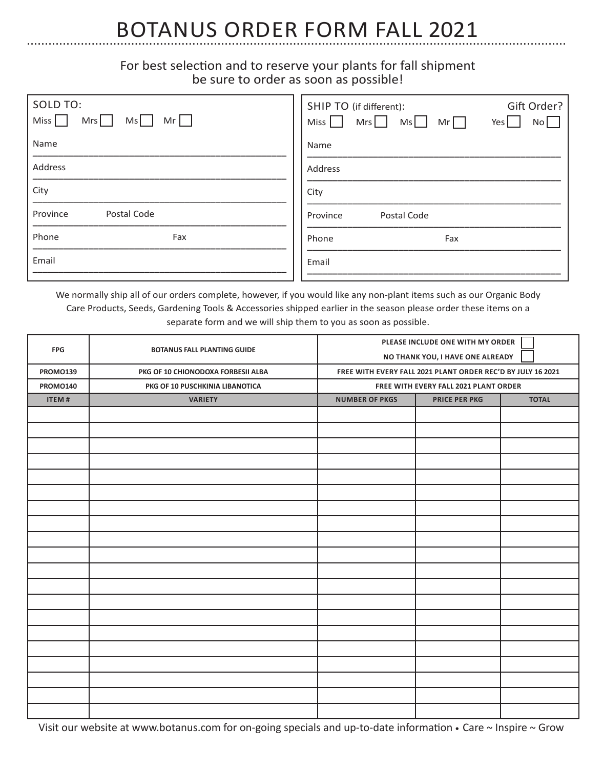# BOTANUS ORDER FORM FALL 2021

### For best selection and to reserve your plants for fall shipment be sure to order as soon as possible!

| SOLD TO:<br>Miss  <br>$Mrs$  <br>$Mr$  <br>Ms | Gift Order?<br>SHIP TO (if different):<br>Mr<br>$Ms$  <br>Mrs<br>Miss  <br>No  <br>Yes $\vert$ |
|-----------------------------------------------|------------------------------------------------------------------------------------------------|
| Name                                          | Name                                                                                           |
| Address                                       | Address                                                                                        |
| City                                          | City                                                                                           |
| Postal Code<br>Province                       | Postal Code<br>Province                                                                        |
| Phone<br>Fax                                  | Phone<br>Fax                                                                                   |
| Email                                         | Email                                                                                          |

We normally ship all of our orders complete, however, if you would like any non-plant items such as our Organic Body Care Products, Seeds, Gardening Tools & Accessories shipped earlier in the season please order these items on a separate form and we will ship them to you as soon as possible.

| <b>FPG</b><br><b>BOTANUS FALL PLANTING GUIDE</b> |                                    | PLEASE INCLUDE ONE WITH MY ORDER                            |                      |              |
|--------------------------------------------------|------------------------------------|-------------------------------------------------------------|----------------------|--------------|
|                                                  | NO THANK YOU, I HAVE ONE ALREADY   |                                                             |                      |              |
| <b>PROMO139</b>                                  | PKG OF 10 CHIONODOXA FORBESII ALBA | FREE WITH EVERY FALL 2021 PLANT ORDER REC'D BY JULY 16 2021 |                      |              |
| <b>PROMO140</b>                                  | PKG OF 10 PUSCHKINIA LIBANOTICA    | FREE WITH EVERY FALL 2021 PLANT ORDER                       |                      |              |
| ITEM#                                            | <b>VARIETY</b>                     | <b>NUMBER OF PKGS</b>                                       | <b>PRICE PER PKG</b> | <b>TOTAL</b> |
|                                                  |                                    |                                                             |                      |              |
|                                                  |                                    |                                                             |                      |              |
|                                                  |                                    |                                                             |                      |              |
|                                                  |                                    |                                                             |                      |              |
|                                                  |                                    |                                                             |                      |              |
|                                                  |                                    |                                                             |                      |              |
|                                                  |                                    |                                                             |                      |              |
|                                                  |                                    |                                                             |                      |              |
|                                                  |                                    |                                                             |                      |              |
|                                                  |                                    |                                                             |                      |              |
|                                                  |                                    |                                                             |                      |              |
|                                                  |                                    |                                                             |                      |              |
|                                                  |                                    |                                                             |                      |              |
|                                                  |                                    |                                                             |                      |              |
|                                                  |                                    |                                                             |                      |              |
|                                                  |                                    |                                                             |                      |              |
|                                                  |                                    |                                                             |                      |              |
|                                                  |                                    |                                                             |                      |              |
|                                                  |                                    |                                                             |                      |              |
|                                                  |                                    |                                                             |                      |              |

Visit our website at www.botanus.com for on-going specials and up-to-date information **•** Care ~ Inspire ~ Grow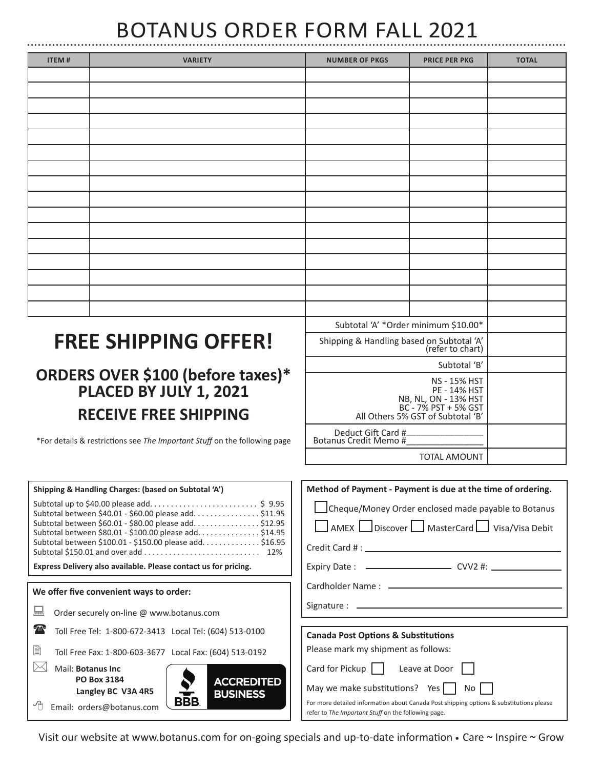# BOTANUS ORDER FORM FALL 2021

| <b>ITEM#</b> | <b>VARIETY</b>              | <b>NUMBER OF PKGS</b>                                         | <b>PRICE PER PKG</b>                 | <b>TOTAL</b> |
|--------------|-----------------------------|---------------------------------------------------------------|--------------------------------------|--------------|
|              |                             |                                                               |                                      |              |
|              |                             |                                                               |                                      |              |
|              |                             |                                                               |                                      |              |
|              |                             |                                                               |                                      |              |
|              |                             |                                                               |                                      |              |
|              |                             |                                                               |                                      |              |
|              |                             |                                                               |                                      |              |
|              |                             |                                                               |                                      |              |
|              |                             |                                                               |                                      |              |
|              |                             |                                                               |                                      |              |
|              |                             |                                                               |                                      |              |
|              |                             |                                                               |                                      |              |
|              |                             |                                                               |                                      |              |
|              |                             |                                                               |                                      |              |
|              |                             |                                                               |                                      |              |
|              |                             |                                                               |                                      |              |
|              |                             |                                                               | Subtotal 'A' *Order minimum \$10.00* |              |
|              | <b>FREE SHIPPING OFFER!</b> | Shipping & Handling based on Subtotal 'A'<br>(refer to chart) |                                      |              |

Subtotal 'B' NS - 15% HST PE - 14% HST NB, NL, ON - 13% HST BC - 7% PST + 5% GST

TOTAL AMOUNT

All Others 5% GST of Subtotal 'B'

Deduct Gift Card #\_\_\_\_\_\_\_\_\_\_\_\_\_\_\_\_ Botanus Credit Memo #\_\_\_\_\_\_\_\_\_\_\_\_\_\_\_\_

# **ORDERS OVER \$100 (before taxes)\* PLACED BY JULY 1, 2021 RECEIVE FREE SHIPPING**

\*For details & restrictions see *The Important Stuff* on the following page

| Shipping & Handling Charges: (based on Subtotal 'A')                                                                                                                                                                                                                                                    | Method of Payment - Payment is due at the time of ordering.                                                                                                                                                                                   |
|---------------------------------------------------------------------------------------------------------------------------------------------------------------------------------------------------------------------------------------------------------------------------------------------------------|-----------------------------------------------------------------------------------------------------------------------------------------------------------------------------------------------------------------------------------------------|
| Subtotal between \$40.01 - \$60.00 please add. \$11.95<br>Subtotal between \$60.01 - \$80.00 please add \$12.95<br>Subtotal between \$80.01 - \$100.00 please add\$14.95<br>Subtotal between \$100.01 - \$150.00 please add. \$16.95<br>Express Delivery also available. Please contact us for pricing. | Cheque/Money Order enclosed made payable to Botanus<br>AMEX Discover   MasterCard   Visa/Visa Debit                                                                                                                                           |
| We offer five convenient ways to order:                                                                                                                                                                                                                                                                 |                                                                                                                                                                                                                                               |
| 焦<br>Order securely on-line @ www.botanus.com                                                                                                                                                                                                                                                           |                                                                                                                                                                                                                                               |
| 75<br>Toll Free Tel: 1-800-672-3413 Local Tel: (604) 513-0100                                                                                                                                                                                                                                           | <b>Canada Post Options &amp; Substitutions</b>                                                                                                                                                                                                |
| B<br>Toll Free Fax: 1-800-603-3677 Local Fax: (604) 513-0192                                                                                                                                                                                                                                            | Please mark my shipment as follows:                                                                                                                                                                                                           |
| $\Join$<br>Mail: Botanus Inc.<br><b>PO Box 3184</b><br><b>ACCREDITED</b><br>Langley BC V3A 4R5<br><b>BUSINESS</b><br>BBB.<br>Email: orders@botanus.com                                                                                                                                                  | Card for Pickup     Leave at Door  <br>May we make substitutions? Yes $\vert \vert$<br>No I<br>For more detailed information about Canada Post shipping options & substitutions please<br>refer to The Important Stuff on the following page. |

Visit our website at www.botanus.com for on-going specials and up-to-date information **•** Care ~ Inspire ~ Grow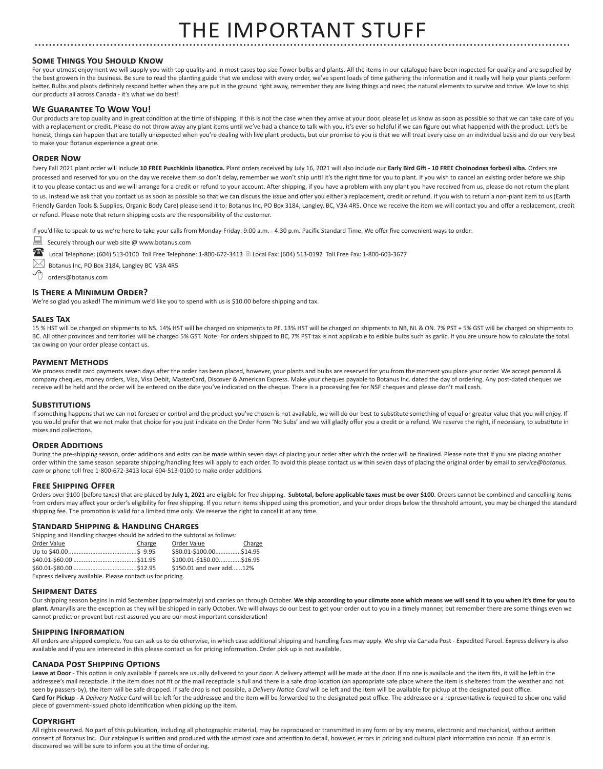# THE IMPORTANT STUFF

#### **Some Things You Should Know**

For your utmost enjoyment we will supply you with top quality and in most cases top size flower bulbs and plants. All the items in our catalogue have been inspected for quality and are supplied by the best growers in the business. Be sure to read the planting guide that we enclose with every order, we've spent loads of time gathering the information and it really will help your plants perform better. Bulbs and plants definitely respond better when they are put in the ground right away, remember they are living things and need the natural elements to survive and thrive. We love to ship our products all across Canada - it's what we do best!

#### **We Guarantee To Wow You!**

Our products are top quality and in great condition at the time of shipping. If this is not the case when they arrive at your door, please let us know as soon as possible so that we can take care of you with a replacement or credit. Please do not throw away any plant items until we've had a chance to talk with you, it's ever so helpful if we can figure out what happened with the product. Let's be honest, things can happen that are totally unexpected when you're dealing with live plant products, but our promise to you is that we will treat every case on an individual basis and do our very best to make your Botanus experience a great one.

#### **Order Now**

Every Fall 2021 plant order will include **10 FREE Puschkinia libanotica.** Plant orders received by July 16, 2021 will also include our **Early Bird Gift - 10 FREE Choinodoxa forbesii alba.** Orders are processed and reserved for you on the day we receive them so don't delay, remember we won't ship until it's the right time for you to plant. If you wish to cancel an existing order before we ship it to you please contact us and we will arrange for a credit or refund to your account. After shipping, if you have a problem with any plant you have received from us, please do not return the plant to us. Instead we ask that you contact us as soon as possible so that we can discuss the issue and offer you either a replacement, credit or refund. If you wish to return a non-plant item to us (Earth Friendly Garden Tools & Supplies, Organic Body Care) please send it to: Botanus Inc, PO Box 3184, Langley, BC, V3A 4R5. Once we receive the item we will contact you and offer a replacement, credit or refund. Please note that return shipping costs are the responsibility of the customer.

If you'd like to speak to us we're here to take your calls from Monday-Friday: 9:00 a.m. - 4:30 p.m. Pacific Standard Time. We offer five convenient ways to order:

- Securely through our web site @ www.botanus.com
- Local Telephone: (604) 513-0100 Toll Free Telephone: 1-800-672-3413 Local Fax: (604) 513-0192 Toll Free Fax: 1-800-603-3677
- $\bowtie$  Botanus Inc, PO Box 3184, Langley BC V3A 4R5
- orders@botanus.com

#### **Is There a Minimum Order?**

We're so glad you asked! The minimum we'd like you to spend with us is \$10.00 before shipping and tax.

#### **Sales Tax**

15 % HST will be charged on shipments to NS. 14% HST will be charged on shipments to PE. 13% HST will be charged on shipments to NB, NL & ON. 7% PST + 5% GST will be charged on shipments to BC. All other provinces and territories will be charged 5% GST. Note: For orders shipped to BC, 7% PST tax is not applicable to edible bulbs such as garlic. If you are unsure how to calculate the total tax owing on your order please contact us.

#### **Payment Methods**

We process credit card payments seven days after the order has been placed, however, your plants and bulbs are reserved for you from the moment you place your order. We accept personal & company cheques, money orders, Visa, Visa Debit, MasterCard, Discover & American Express. Make your cheques payable to Botanus Inc. dated the day of ordering. Any post-dated cheques we receive will be held and the order will be entered on the date you've indicated on the cheque. There is a processing fee for NSF cheques and please don't mail cash.

#### **Substitutions**

If something happens that we can not foresee or control and the product you've chosen is not available, we will do our best to substitute something of equal or greater value that you will enjoy. If you would prefer that we not make that choice for you just indicate on the Order Form 'No Subs' and we will gladly offer you a credit or a refund. We reserve the right, if necessary, to substitute in mixes and collections.

#### **ORDER ADDITIONS**

During the pre-shipping season, order additions and edits can be made within seven days of placing your order after which the order will be finalized. Please note that if you are placing another order within the same season separate shipping/handling fees will apply to each order. To avoid this please contact us within seven days of placing the original order by email to *service@botanus. com* or phone toll free 1-800-672-3413 local 604-513-0100 to make order additions.

#### **Free Shipping Offer**

Orders over \$100 (before taxes) that are placed by **July 1, 2021** are eligible for free shipping. **Subtotal, before applicable taxes must be over \$100**. Orders cannot be combined and cancelling items from orders may affect your order's eligibility for free shipping. If you return items shipped using this promotion, and your order drops below the threshold amount, you may be charged the standard shipping fee. The promotion is valid for a limited time only. We reserve the right to cancel it at any time.

#### **Standard Shipping & Handling Charges**

Shipping and Handling charges should be added to the subtotal as follows:

| Order Value                                                | Charge | Order Value              | Charge |  |
|------------------------------------------------------------|--------|--------------------------|--------|--|
|                                                            |        | \$80.01-\$100.00\$14.95  |        |  |
|                                                            |        | \$100.01-\$150.00\$16.95 |        |  |
|                                                            |        | \$150.01 and over add12% |        |  |
| Express delivery available. Please contact us for pricing. |        |                          |        |  |

#### **Shipment Dates**

Our shipping season begins in mid September (approximately) and carries on through October. We ship according to your climate zone which means we will send it to you when it's time for you to plant. Amaryllis are the exception as they will be shipped in early October. We will always do our best to get your order out to you in a timely manner, but remember there are some things even we cannot predict or prevent but rest assured you are our most important consideration!

#### **Shipping Information**

All orders are shipped complete. You can ask us to do otherwise, in which case additional shipping and handling fees may apply. We ship via Canada Post - Expedited Parcel. Express delivery is also available and if you are interested in this please contact us for pricing information. Order pick up is not available.

#### **Canada Post Shipping Options**

Leave at Door - This option is only available if parcels are usually delivered to your door. A delivery attempt will be made at the door. If no one is available and the item fits, it will be left in the addressee's mail receptacle. If the item does not fit or the mail receptacle is full and there is a safe drop location (an appropriate safe place where the item is sheltered from the weather and not seen by passers-by), the item will be safe dropped. If safe drop is not possible, a Delivery Notice Card will be left and the item will be available for pickup at the designated post office. Card for Pickup - A *Delivery Notice Card* will be left for the addressee and the item will be forwarded to the designated post office. The addressee or a representative is required to show one valid piece of government-issued photo identification when picking up the item.

#### **Copyright**

All rights reserved. No part of this publication, including all photographic material, may be reproduced or transmitted in any form or by any means, electronic and mechanical, without written consent of Botanus Inc. Our catalogue is written and produced with the utmost care and attention to detail, however, errors in pricing and cultural plant information can occur. If an error is discovered we will be sure to inform you at the time of ordering.